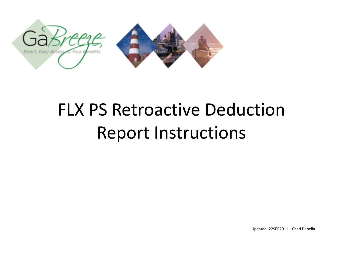

#### FLX PS Retroactive Deduction Report Instructions

Updated: 22SEP2011 – Chad Dabella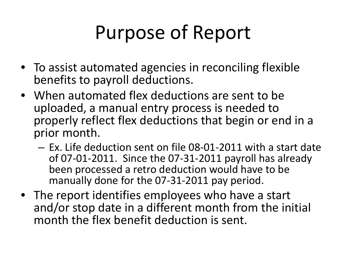# Purpose of Report

- To assist automated agencies in reconciling flexible benefits to payroll deductions.
- When automated flex deductions are sent to be uploaded, a manual entry process is needed to properly reflect flex deductions that begin or end in a prior month.
	- Ex. Life deduction sent on file 08-01-2011 with a start date of 07-01-2011. Since the 07-31-2011 payroll has already been processed a retro deduction would have to be manually done for the 07-31-2011 pay period.
- The report identifies employees who have a start and/or stop date in a different month from the initial month the flex benefit deduction is sent.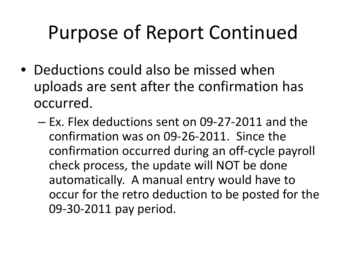# Purpose of Report Continued

- Deductions could also be missed when uploads are sent after the confirmation has occurred.
	- Ex. Flex deductions sent on 09-27-2011 and the confirmation was on 09-26-2011. Since the confirmation occurred during an off-cycle payroll check process, the update will NOT be done automatically. A manual entry would have to occur for the retro deduction to be posted for the 09-30-2011 pay period.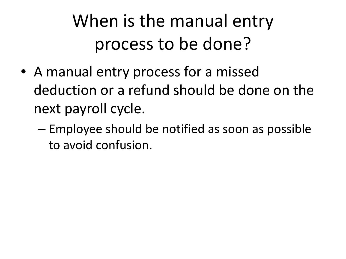#### When is the manual entry process to be done?

- A manual entry process for a missed deduction or a refund should be done on the next payroll cycle.
	- Employee should be notified as soon as possible to avoid confusion.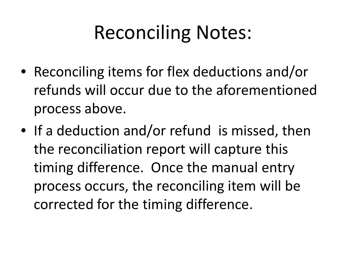# Reconciling Notes:

- Reconciling items for flex deductions and/or refunds will occur due to the aforementioned process above.
- If a deduction and/or refund is missed, then the reconciliation report will capture this timing difference. Once the manual entry process occurs, the reconciling item will be corrected for the timing difference.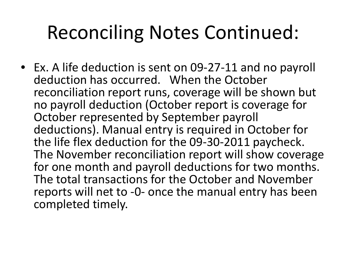### Reconciling Notes Continued:

• Ex. A life deduction is sent on 09-27-11 and no payroll deduction has occurred. When the October reconciliation report runs, coverage will be shown but no payroll deduction (October report is coverage for October represented by September payroll deductions). Manual entry is required in October for the life flex deduction for the 09-30-2011 paycheck. The November reconciliation report will show coverage for one month and payroll deductions for two months. The total transactions for the October and November reports will net to -0- once the manual entry has been completed timely.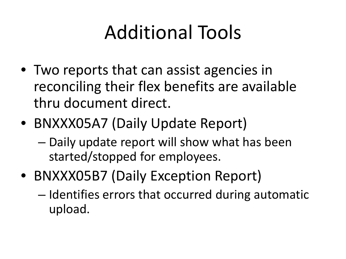# Additional Tools

- Two reports that can assist agencies in reconciling their flex benefits are available thru document direct.
- BNXXX05A7 (Daily Update Report)
	- Daily update report will show what has been started/stopped for employees.
- BNXXX05B7 (Daily Exception Report)
	- Identifies errors that occurred during automatic upload.